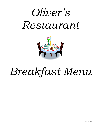# *Oliver's Restaurant*



# *Breakfast Menu*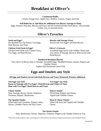#### **Continental Buffet**

Cereals, Orange Juice, Apple Juice, Muffins, Granola, Yogurt, and Fruit

#### **Full Buffet for or Add Meat for additional cost (Bacon, Sausage or Ham)**

Eggs, Potatoes, Pancakes, Biscuits and Gravy and all Continental Items listed above. Also includes Coffee, Tea, or Assorted Juices.

## **Oliver's Favorites**

### **Steak and Eggs\* Biscuits and Sausage Gravy**

8oz Baseball Cut Top Sirloin, Two Eggs, Served with Two Eggs\* and Hash Browns

Hash Browns, and Toast **Chicken Fried Steak & Eggs\* Oliver's Croissant**

Chicken Fried Steak with Country Gravy, Scrambled Eggs mixed with Cheddar Cheese and Two Eggs, and Hash Browns your choice of Sausage, Bacon or Ham served with Hash Browns

#### **Smothered Breakfast Burrito**

Your choice of Bacon, Ham or Sausage, Scrambled Eggs, Shredded Potatoes, Onions, Peppers and Cheddar Cheese. Topped with Homemade Green Chili

## **Eggs and Omelets any Style**

#### **All Eggs and Omelets served with Hash Browns and Toast, Homestyle Potatoes additional**

**One Egg\* any Style Two Eggs\* any Style Bacon or Sausage with Two Eggs\*, Hash Browns and Choice of Toast Ham with Two Eggs\*, Hash Browns and Toast**

**Cheese Omelet Denver Omelet** Ham, Sausage, Bacon, Onions, Jalapenos, Diced Ham, Peppers and Onions, Tomatoes, Peppers, Mushrooms topped with Cheddar Cheese

**The Spanish Omelet Ham & Cheese Omelet** Filled with Fresh Tomatoes, Peppers, Salsa, Filled with Ham and Topped with Cheddar Onions, Cheddar Cheese and Sour Cream Cheese

#### **The Works Omelet**

Ham, Mushrooms, Onions, Jalapenos, Tomatoes, Peppers with Cheddar Cheese on Top

**\***These items maybe cooked to order. Consuming raw or undercooked meats, seafood, or eggs may increase your risk of foodborne illness